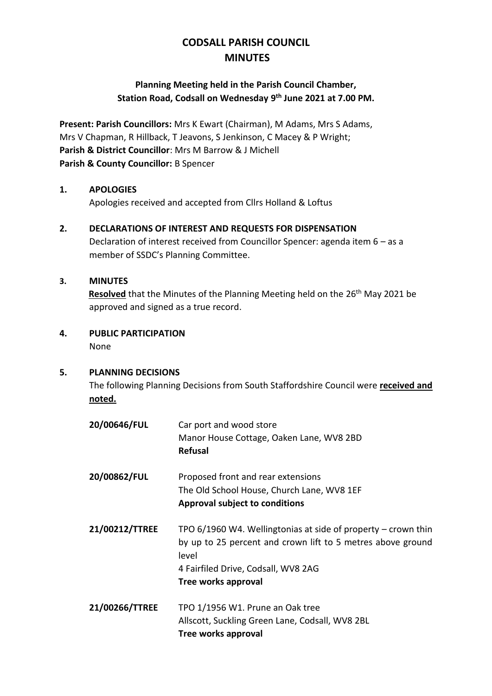# **CODSALL PARISH COUNCIL MINUTES**

## **Planning Meeting held in the Parish Council Chamber, Station Road, Codsall on Wednesday 9 th June 2021 at 7.00 PM.**

**Present: Parish Councillors:** Mrs K Ewart (Chairman), M Adams, Mrs S Adams, Mrs V Chapman, R Hillback, T Jeavons, S Jenkinson, C Macey & P Wright; **Parish & District Councillor**: Mrs M Barrow & J Michell **Parish & County Councillor:** B Spencer

## **1. APOLOGIES**

Apologies received and accepted from Cllrs Holland & Loftus

## **2. DECLARATIONS OF INTEREST AND REQUESTS FOR DISPENSATION**

Declaration of interest received from Councillor Spencer: agenda item 6 – as a member of SSDC's Planning Committee.

## **3. MINUTES**

**Resolved** that the Minutes of the Planning Meeting held on the 26<sup>th</sup> May 2021 be approved and signed as a true record.

## **4. PUBLIC PARTICIPATION**

None

## **5. PLANNING DECISIONS**

The following Planning Decisions from South Staffordshire Council were **received and noted.**

| 20/00646/FUL   | Car port and wood store<br>Manor House Cottage, Oaken Lane, WV8 2BD<br><b>Refusal</b>                                                                                                                 |
|----------------|-------------------------------------------------------------------------------------------------------------------------------------------------------------------------------------------------------|
| 20/00862/FUL   | Proposed front and rear extensions<br>The Old School House, Church Lane, WV8 1EF<br><b>Approval subject to conditions</b>                                                                             |
| 21/00212/TTREE | TPO $6/1960$ W4. Wellingtonias at side of property – crown thin<br>by up to 25 percent and crown lift to 5 metres above ground<br>level<br>4 Fairfiled Drive, Codsall, WV8 2AG<br>Tree works approval |
| 21/00266/TTREE | TPO 1/1956 W1. Prune an Oak tree<br>Allscott, Suckling Green Lane, Codsall, WV8 2BL<br>Tree works approval                                                                                            |